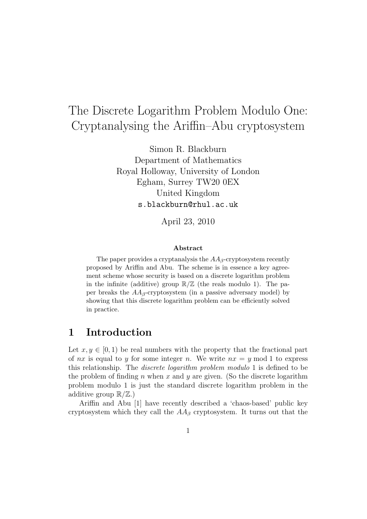# The Discrete Logarithm Problem Modulo One: Cryptanalysing the Ariffin–Abu cryptosystem

Simon R. Blackburn Department of Mathematics Royal Holloway, University of London Egham, Surrey TW20 0EX United Kingdom s.blackburn@rhul.ac.uk

April 23, 2010

#### Abstract

The paper provides a cryptanalysis the  $AA_\beta$ -cryptosystem recently proposed by Ariffin and Abu. The scheme is in essence a key agreement scheme whose security is based on a discrete logarithm problem in the infinite (additive) group  $\mathbb{R}/\mathbb{Z}$  (the reals modulo 1). The paper breaks the  $AA_\beta$ -cryptosystem (in a passive adversary model) by showing that this discrete logarithm problem can be efficiently solved in practice.

#### 1 Introduction

Let  $x, y \in [0, 1)$  be real numbers with the property that the fractional part of nx is equal to y for some integer n. We write  $nx = y \mod 1$  to express this relationship. The discrete logarithm problem modulo 1 is defined to be the problem of finding n when x and y are given. (So the discrete logarithm problem modulo 1 is just the standard discrete logarithm problem in the additive group  $\mathbb{R}/\mathbb{Z}$ .)

Ariffin and Abu [1] have recently described a 'chaos-based' public key cryptosystem which they call the  $AA_\beta$  cryptosystem. It turns out that the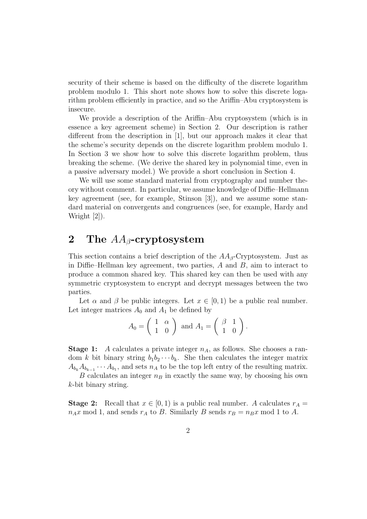security of their scheme is based on the difficulty of the discrete logarithm problem modulo 1. This short note shows how to solve this discrete logarithm problem efficiently in practice, and so the Ariffin–Abu cryptosystem is insecure.

We provide a description of the Ariffin–Abu cryptosystem (which is in essence a key agreement scheme) in Section 2. Our description is rather different from the description in [1], but our approach makes it clear that the scheme's security depends on the discrete logarithm problem modulo 1. In Section 3 we show how to solve this discrete logarithm problem, thus breaking the scheme. (We derive the shared key in polynomial time, even in a passive adversary model.) We provide a short conclusion in Section 4.

We will use some standard material from cryptography and number theory without comment. In particular, we assume knowledge of Diffie–Hellmann key agreement (see, for example, Stinson [3]), and we assume some standard material on convergents and congruences (see, for example, Hardy and Wright [2]).

#### 2 The  $AA$ <sub>β</sub>-cryptosystem

This section contains a brief description of the  $AA_\beta$ -Cryptosystem. Just as in Diffie–Hellman key agreement, two parties,  $A$  and  $B$ , aim to interact to produce a common shared key. This shared key can then be used with any symmetric cryptosystem to encrypt and decrypt messages between the two parties.

Let  $\alpha$  and  $\beta$  be public integers. Let  $x \in [0,1)$  be a public real number. Let integer matrices  $A_0$  and  $A_1$  be defined by

$$
A_0 = \left(\begin{array}{cc} 1 & \alpha \\ 1 & 0 \end{array}\right) \text{ and } A_1 = \left(\begin{array}{cc} \beta & 1 \\ 1 & 0 \end{array}\right).
$$

**Stage 1:** A calculates a private integer  $n_A$ , as follows. She chooses a random k bit binary string  $b_1b_2\cdots b_k$ . She then calculates the integer matrix  $A_{b_k}A_{b_{k-1}}\cdots A_{b_1}$ , and sets  $n_A$  to be the top left entry of the resulting matrix.

B calculates an integer  $n_B$  in exactly the same way, by choosing his own k-bit binary string.

**Stage 2:** Recall that  $x \in [0, 1)$  is a public real number. A calculates  $r_A =$  $n_A x \mod 1$ , and sends  $r_A$  to B. Similarly B sends  $r_B = n_B x \mod 1$  to A.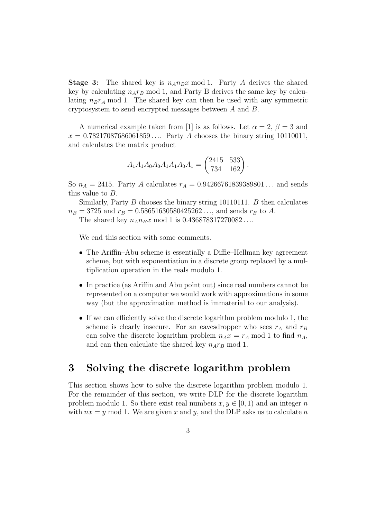**Stage 3:** The shared key is  $n_A n_B x \mod 1$ . Party A derives the shared key by calculating  $n_A r_B$  mod 1, and Party B derives the same key by calculating  $n_Br_A \mod 1$ . The shared key can then be used with any symmetric cryptosystem to send encrypted messages between A and B.

A numerical example taken from [1] is as follows. Let  $\alpha = 2$ ,  $\beta = 3$  and  $x = 0.78217087686061859...$  Party A chooses the binary string 10110011, and calculates the matrix product

$$
A_1 A_1 A_0 A_0 A_1 A_1 A_0 A_1 = \begin{pmatrix} 2415 & 533 \\ 734 & 162 \end{pmatrix}.
$$

So  $n_A = 2415$ . Party A calculates  $r_A = 0.94266761839389801...$  and sends this value to B.

Similarly, Party B chooses the binary string 10110111. B then calculates  $n_B = 3725$  and  $r_B = 0.58651630580425262...$ , and sends  $r_B$  to A.

The shared key  $n_A n_B x \text{ mod } 1$  is 0.436878317270082....

We end this section with some comments.

- The Ariffin–Abu scheme is essentially a Diffie–Hellman key agreement scheme, but with exponentiation in a discrete group replaced by a multiplication operation in the reals modulo 1.
- In practice (as Ariffin and Abu point out) since real numbers cannot be represented on a computer we would work with approximations in some way (but the approximation method is immaterial to our analysis).
- If we can efficiently solve the discrete logarithm problem modulo 1, the scheme is clearly insecure. For an eavesdropper who sees  $r_A$  and  $r_B$ can solve the discrete logarithm problem  $n_A x = r_A \mod 1$  to find  $n_A$ , and can then calculate the shared key  $n_A r_B \text{ mod } 1$ .

## 3 Solving the discrete logarithm problem

This section shows how to solve the discrete logarithm problem modulo 1. For the remainder of this section, we write DLP for the discrete logarithm problem modulo 1. So there exist real numbers  $x, y \in [0, 1)$  and an integer n with  $nx = y \mod 1$ . We are given x and y, and the DLP asks us to calculate n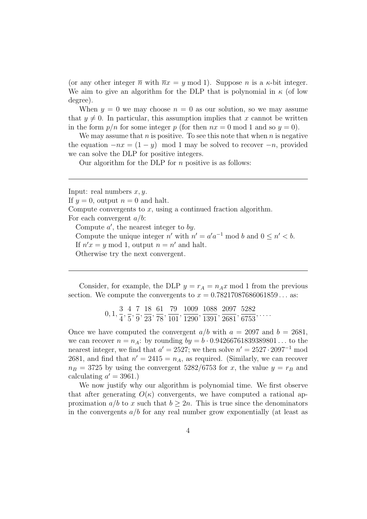(or any other integer  $\overline{n}$  with  $\overline{n}x = y \mod 1$ ). Suppose n is a  $\kappa$ -bit integer. We aim to give an algorithm for the DLP that is polynomial in  $\kappa$  (of low degree).

When  $y = 0$  we may choose  $n = 0$  as our solution, so we may assume that  $y \neq 0$ . In particular, this assumption implies that x cannot be written in the form  $p/n$  for some integer p (for then  $nx = 0$  mod 1 and so  $y = 0$ ).

We may assume that n is positive. To see this note that when n is negative the equation  $-nx = (1 - y) \mod 1$  may be solved to recover  $-n$ , provided we can solve the DLP for positive integers.

Our algorithm for the DLP for  $n$  positive is as follows:

Input: real numbers  $x, y$ .

If  $y = 0$ , output  $n = 0$  and halt.

Compute convergents to  $x$ , using a continued fraction algorithm. For each convergent  $a/b$ :

Compute  $a'$ , the nearest integer to by. Compute the unique integer n' with  $n' = a'a^{-1} \mod b$  and  $0 \leq n' < b$ . If  $n'x = y \mod 1$ , output  $n = n'$  and halt.

Otherwise try the next convergent.

Consider, for example, the DLP  $y = r_A = n_A x \mod 1$  from the previous section. We compute the convergents to  $x = 0.78217087686061859...$  as:

> 0, 1, 3 4 , 4 5 , 7 9 , 18 23 , 61 78 , 79 101 , 1009 1290 , 1088 1391 , 2097 2681 , 5282 6753 , . . . .

Once we have computed the convergent  $a/b$  with  $a = 2097$  and  $b = 2681$ , we can recover  $n = n_A$ : by rounding  $by = b \cdot 0.94266761839389801...$  to the nearest integer, we find that  $a' = 2527$ ; we then solve  $n' = 2527 \cdot 2097^{-1}$  mod 2681, and find that  $n' = 2415 = n_A$ , as required. (Similarly, we can recover  $n_B = 3725$  by using the convergent 5282/6753 for x, the value  $y = r_B$  and calculating  $a' = 3961.$ 

We now justify why our algorithm is polynomial time. We first observe that after generating  $O(\kappa)$  convergents, we have computed a rational approximation  $a/b$  to x such that  $b > 2n$ . This is true since the denominators in the convergents  $a/b$  for any real number grow exponentially (at least as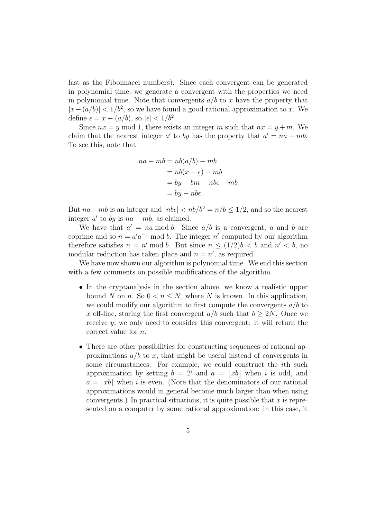fast as the Fibonnacci numbers). Since each convergent can be generated in polynomial time, we generate a convergent with the properties we need in polynomial time. Note that convergents  $a/b$  to x have the property that  $|x-(a/b)| < 1/b^2$ , so we have found a good rational approximation to x. We define  $\epsilon = x - (a/b)$ , so  $|\epsilon| < 1/b^2$ .

Since  $nx = y \mod 1$ , there exists an integer m such that  $nx = y + m$ . We claim that the nearest integer a' to by has the property that  $a' = na - mb$ . To see this, note that

$$
na - mb = nb(a/b) - mb
$$
  
=  $nb(x - \epsilon) - mb$   
=  $by + bm - nb\epsilon - mb$   
=  $by - nb\epsilon$ .

But  $na - mb$  is an integer and  $|nb\epsilon| < nb/b^2 = n/b \leq 1/2$ , and so the nearest integer  $a'$  to by is  $na - mb$ , as claimed.

We have that  $a' = na \mod b$ . Since  $a/b$  is a convergent, a and b are coprime and so  $n = a'a^{-1} \mod b$ . The integer n' computed by our algorithm therefore satisfies  $n = n' \mod b$ . But since  $n \leq (1/2)b < b \text{ and } n' < b$ , no modular reduction has taken place and  $n = n'$ , as required.

We have now shown our algorithm is polynomial time. We end this section with a few comments on possible modifications of the algorithm.

- In the cryptanalysis in the section above, we know a realistic upper bound N on n. So  $0 < n \leq N$ , where N is known. In this application, we could modify our algorithm to first compute the convergents  $a/b$  to x off-line, storing the first convergent  $a/b$  such that  $b > 2N$ . Once we receive y, we only need to consider this convergent: it will return the correct value for n.
- There are other possibilities for constructing sequences of rational approximations  $a/b$  to x, that might be useful instead of convergents in some circumstances. For example, we could construct the ith such approximation by setting  $b = 2^i$  and  $a = |xb|$  when i is odd, and  $a = [xb]$  when i is even. (Note that the denominators of our rational approximations would in general become much larger than when using convergents.) In practical situations, it is quite possible that  $x$  is represented on a computer by some rational approximation: in this case, it